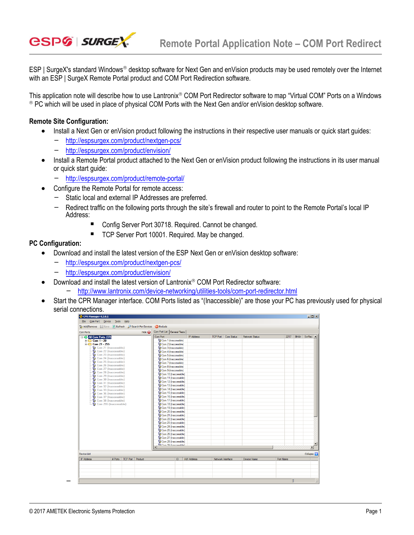

ESP | SurgeX's standard Windows® desktop software for Next Gen and enVision products may be used remotely over the Internet with an ESP | SurgeX Remote Portal product and COM Port Redirection software.

This application note will describe how to use Lantronix® COM Port Redirector software to map "Virtual COM" Ports on a Windows ® PC which will be used in place of physical COM Ports with the Next Gen and/or enVision desktop software.

## **Remote Site Configuration:**

- Install a Next Gen or enVision product following the instructions in their respective user manuals or quick start guides:
	- [http://espsurgex.com/product/nextgen-pcs](http://espsurgex.com/product/nextgen-pcs/)[/](http://espei.com/products/esp-next-gen-pcs/)
	- <http://espsurgex.com/product/envision/>
- Install a Remote Portal product attached to the Next Gen or enVision product following the instructions in its user manual or quick start guide:
	- <http://espsurgex.com/product/remote-portal/>
- Configure the Remote Portal for remote access:
	- Static local and external IP Addresses are preferred.
	- Redirect traffic on the following ports through the site's firewall and router to point to the Remote Portal's local IP Address:
		- Config Server Port 30718. Required. Cannot be changed.
		- TCP Server Port 10001. Required. May be changed.

## **PC Configuration:**

- Download and install the latest version of the ESP Next Gen or enVision desktop software:
	- [http://espsurgex.com/product/nextgen-pcs](http://espsurgex.com/product/nextgen-pcs/)[/](http://espei.com/products/esp-next-gen-pcs/)
	- <http://espsurgex.com/product/envision/>
- $\bullet$  Download and install the latest version of Lantronix<sup>®</sup> COM Port Redirector software:
	- <http://www.lantronix.com/device-networking/utilities-tools/com-port-redirector.html>
- Start the CPR Manager interface. COM Ports listed as "(Inaccessible)" are those your PC has previously used for physical serial connections.

| <b>Com Ports</b>                               | Com Port List   General Tests  <br>Hide $\bigoplus$ |                   |                   |            |                |           |                |                       |
|------------------------------------------------|-----------------------------------------------------|-------------------|-------------------|------------|----------------|-----------|----------------|-----------------------|
| <b>E-C</b> All Com Ports (37)                  | Com Port                                            | <b>IP Address</b> | <b>TCP Port</b>   | Com Status | Network Status | 2217      | BfrWr SvrRec - |                       |
| <b>E-Com 1-20</b>                              | Com 1 (Inaccessible)                                |                   |                   |            |                |           |                |                       |
| in Com 21 - 255                                | Com 2 (Inaccessible)                                |                   |                   |            |                |           |                |                       |
| Com 21 (Inaccessible)                          | Com 3 (Inaccessible)                                |                   |                   |            |                |           |                |                       |
| Com 22 (Inaccessible)                          | Com 4 (Inaccessible)                                |                   |                   |            |                |           |                |                       |
| Com 23 (Inaccessible)                          | Com 5 (Inaccessible)                                |                   |                   |            |                |           |                |                       |
| Com 24 (Inaccessible)<br>Com 25 (Inaccessible) | Com 6 (Inaccessible)                                |                   |                   |            |                |           |                |                       |
| Com 26 (Inaccessible)                          | Com 7 (Inaccessible)                                |                   |                   |            |                |           |                |                       |
| Com 27 (Inaccessible)                          | Com 8 (Inaccessible)                                |                   |                   |            |                |           |                |                       |
| Com 28 (Inaccessible)                          | Com 9 (Inaccessible)                                |                   |                   |            |                |           |                |                       |
| Com 29 (Inaccessible)                          | Com 10 (Inaccessible)                               |                   |                   |            |                |           |                |                       |
| Com 30 (Inaccessible)                          | Com 11 (Inaccessible)                               |                   |                   |            |                |           |                |                       |
| Com 31 (Inaccessible)                          | Com 12 (Inaccessible)                               |                   |                   |            |                |           |                |                       |
| Com 32 (Inaccessible)                          | Com 13 (Inaccessible)<br>Com 14 (Inaccessible)      |                   |                   |            |                |           |                |                       |
| Com 33 (Inaccessible)                          | Com 15 (Inaccessible)                               |                   |                   |            |                |           |                |                       |
| Com 36 (Inaccessible)                          | Com 16 (Inaccessible)                               |                   |                   |            |                |           |                |                       |
| Com 37 (Inaccessible)<br>Com 38 (Inaccessible) | Com 17 (Inaccessible)                               |                   |                   |            |                |           |                |                       |
| Com 255 (Inaccessible)                         | Com 18 (Inaccessible)                               |                   |                   |            |                |           |                |                       |
|                                                | Com 19 (Inaccessible)                               |                   |                   |            |                |           |                |                       |
|                                                | Com 20 (Inaccessible)                               |                   |                   |            |                |           |                |                       |
|                                                | Com 21 (Inaccessible)                               |                   |                   |            |                |           |                |                       |
|                                                | Com 22 (Inaccessible)                               |                   |                   |            |                |           |                |                       |
|                                                | Com 23 (Inaccessible)                               |                   |                   |            |                |           |                |                       |
|                                                | Com 24 (Inaccessible)                               |                   |                   |            |                |           |                |                       |
|                                                | Com 25 (Inaccessible)                               |                   |                   |            |                |           |                |                       |
|                                                | Com 26 (Inaccessible)                               |                   |                   |            |                |           |                |                       |
|                                                | Com 27 (Inaccessible)                               |                   |                   |            |                |           |                |                       |
|                                                | Com 28 (Inaccessible)                               |                   |                   |            |                |           |                |                       |
|                                                | <b>Di Com 29 (Inscessible)</b>                      |                   |                   |            |                |           |                |                       |
|                                                |                                                     |                   |                   |            |                |           |                | $\blacktriangleright$ |
|                                                |                                                     |                   |                   |            |                |           |                | Collapse <b>N</b>     |
| <b>Device List</b>                             |                                                     |                   |                   |            |                |           |                |                       |
| TCP Port<br><b>IP Address</b><br># Ports       | Product<br>ID                                       | <b>HW Address</b> | Network Interface |            | Device Name    | Port Name |                |                       |

-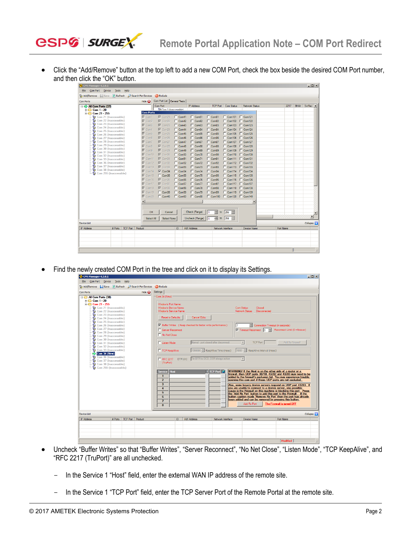

 Click the "Add/Remove" button at the top left to add a new COM Port, check the box beside the desired COM Port number, and then click the "OK" button.

| Com Port List   General Tests<br>Com Ports<br>Com Port<br><b>IP Address</b><br>Com Status<br>BfrWr SyrRec A<br><b>TCP Port</b><br><b>Network Status</b><br>2217<br>$\Rightarrow$ All Com Ports (37)<br><b>Da Com 1 (Inaccessible)</b><br><b>ED</b> Com 1 - 20<br><b>Com Ports</b><br>白 <b>Com 21 - 255</b><br>$\nabla$ Com21<br>$\Box$ Com41<br>$\Gamma$ Com61<br>$\Gamma$ Com81<br>$\Box$ Com101 $\Box$ Com121<br>$\nabla$ Com1<br>Com 21 (Inaccessible)<br>Com 22 (Inaccessible)<br>$\Box$ Com42<br>$\Box$ Com62<br>$\Gamma$ Com82<br>$\Box$ Com102 $\Box$ Com122<br>$\nabla$ Com <sub>2</sub><br>$\nabla$ Com22<br>Com 23 (Inaccessible)<br>$\Box$ Com43<br>$\Gamma$ Com83<br>$\nabla$ Com3<br>$\Gamma$ Com63<br>$\Box$ Com103 $\Box$ Com123<br>$\nabla$ Com23<br>Com 24 (Inaccessible)<br>$\Gamma$ Com84<br>$\Box$ Com44<br>$\Box$ Com64<br>$\Box$ Com104 $\Box$ Com124<br>$\nabla$ Com4<br>$\nabla$ Com <sub>24</sub><br>Com 25 (Inaccessible)<br>$\Box$ Com45<br>$\Gamma$ Com85<br>$\Box$ Com105 $\Box$ Com125<br>$\nabla$ Com5<br>$\Gamma$ Com65<br>$\nabla$ Com25<br>Com 26 (Inaccessible)<br>$\Box$ Com46<br>$\Gamma$ Com86<br>$\Box$ Com106 $\Box$ Com126<br>$\nabla$ Com6<br>$\nabla$ Com26<br>$\Box$ Com66<br>Com 27 (Inaccessible)<br>Com 28 (Inaccessible)<br>$\Gamma$ Com47<br>$\Box$ Com67<br>$\Gamma$ Com87<br>$\Box$ Com107 $\Box$ Com127<br>$\nabla$ Com27<br>$\nabla$ Com7<br>Com 29 (Inaccessible)<br>$\Box$ Com48<br>$\Gamma$ Com88<br>$\nabla$ Com28<br>$\Gamma$ Com68<br>$\Box$ Com108 $\Box$ Com128<br>$\nabla$ Com8<br>Com 30 (Inaccessible)<br>$\Gamma$ Com89<br>$\Box$ Com49<br>$\Gamma$ Com69<br>$\Box$ Com109<br>$\Box$ Com129<br>$\nabla$ Com9<br>$\nabla$ Com29<br>Com 31 (Inaccessible)<br>$\Gamma$ Com90<br>$\nabla$ Com30<br>$\Box$ Com50<br>$\Gamma$ Com70<br>$\Box$ Com110 $\Box$ Com130<br>$\nabla$ Com10<br>Com 32 (Inaccessible)<br>$\Gamma$ Com91<br>$\Gamma$ Com51<br>$\Gamma$ Com71<br>$\Box$ Com111 $\Box$ Com131<br>$\nabla$ Com11<br>$\nabla$ Com31<br>Com 33 (Inaccessible)<br>Com 36 (Inaccessible)<br>$\Gamma$ Com52<br>$\Gamma$ Com92<br>$\Box$ Com112 $\Box$ Com132<br>$\nabla$ Com12<br>$\nabla$ Com32<br>$\Box$ Com72<br>Com 37 (Inaccessible)<br>$\nabla$ Com33<br>$\Box$ Com53<br>$\Gamma$ Com93<br>$\Box$ Com113 $\Box$ Com133<br>$\nabla$ Com13<br>Com73<br>Com 38 (Inaccessible)<br>$\Gamma$ Com94<br>$\nabla$ Com14<br>$\nabla$ Com34<br>$\Box$ Com54<br>Com74<br>$\Box$ Com114 $\Box$ Com134<br>┍<br>Com 255 (Inaccessible)<br>$\Box$ Com55<br>$\Gamma$ Com95<br>$\Box$ Com115 $\Box$ Com135<br>$\Gamma$ Com35<br>$\Box$ Com75<br>$\nabla$ Com15<br>$\Gamma$ Com56<br>$\Gamma$ Com76<br>$\Gamma$ Com96<br>Com116 Com136<br>$\nabla$ Com16<br>$\nabla$ Com36<br>$\nabla$ Com37<br>$\Gamma$ Com57<br>$\Gamma$ Com77<br>$\Gamma$ Com97<br>$\Box$ Com117 $\Box$ Com137<br>$\nabla$ Com17<br>$\Box$ Com58<br>$\Box$ Com78<br>$\Gamma$ Com98<br>$\Box$ Com118 $\Box$ Com138<br>$\nabla$ Com18<br>$\nabla$ Com38<br>$\Gamma$ Com99<br>$\Box$ Com59<br>$\Gamma$ Com79<br>$\Box$ Com119 $\Box$ Com139<br>$\nabla$ Com19<br>$\Gamma$ Com39<br>$\Gamma$ Com80<br>□ Com100 □ Com120 □ Com140<br>$\Gamma$ Com40<br>$\Box$ Com60<br>$\nabla$ Com20<br>$\blacksquare$<br>$\blacktriangleright$<br>Check (Range)<br>÷<br>to<br>$256 -$<br>OK<br>Cancel<br>곡<br>to $256$<br>÷<br>Uncheck (Range)<br>Select All<br>Select None<br>I٦<br>Collapse <b>N</b><br>Device List<br><b>IP Address</b><br><b>TCP Port</b><br>Product<br>Port Name<br># Ports<br>ID<br><b>HW Address</b><br>Network Interface<br>Device Name | Add/Remove Save 2 Refresh Search For Devices |                  | Exclude |  |  |  |  |
|--------------------------------------------------------------------------------------------------------------------------------------------------------------------------------------------------------------------------------------------------------------------------------------------------------------------------------------------------------------------------------------------------------------------------------------------------------------------------------------------------------------------------------------------------------------------------------------------------------------------------------------------------------------------------------------------------------------------------------------------------------------------------------------------------------------------------------------------------------------------------------------------------------------------------------------------------------------------------------------------------------------------------------------------------------------------------------------------------------------------------------------------------------------------------------------------------------------------------------------------------------------------------------------------------------------------------------------------------------------------------------------------------------------------------------------------------------------------------------------------------------------------------------------------------------------------------------------------------------------------------------------------------------------------------------------------------------------------------------------------------------------------------------------------------------------------------------------------------------------------------------------------------------------------------------------------------------------------------------------------------------------------------------------------------------------------------------------------------------------------------------------------------------------------------------------------------------------------------------------------------------------------------------------------------------------------------------------------------------------------------------------------------------------------------------------------------------------------------------------------------------------------------------------------------------------------------------------------------------------------------------------------------------------------------------------------------------------------------------------------------------------------------------------------------------------------------------------------------------------------------------------------------------------------------------------------------------------------------------------------------------------------------------------------------------------------------------------------------------------------------------------------------------------------------------------------------------------------------------------------------------------------------------------------------------------------------------------------------------------------------------------------------------------------------------------------------------------------------------------------------------------------------------------------------------------|----------------------------------------------|------------------|---------|--|--|--|--|
|                                                                                                                                                                                                                                                                                                                                                                                                                                                                                                                                                                                                                                                                                                                                                                                                                                                                                                                                                                                                                                                                                                                                                                                                                                                                                                                                                                                                                                                                                                                                                                                                                                                                                                                                                                                                                                                                                                                                                                                                                                                                                                                                                                                                                                                                                                                                                                                                                                                                                                                                                                                                                                                                                                                                                                                                                                                                                                                                                                                                                                                                                                                                                                                                                                                                                                                                                                                                                                                                                                                                                              |                                              | Hide $\bigoplus$ |         |  |  |  |  |
|                                                                                                                                                                                                                                                                                                                                                                                                                                                                                                                                                                                                                                                                                                                                                                                                                                                                                                                                                                                                                                                                                                                                                                                                                                                                                                                                                                                                                                                                                                                                                                                                                                                                                                                                                                                                                                                                                                                                                                                                                                                                                                                                                                                                                                                                                                                                                                                                                                                                                                                                                                                                                                                                                                                                                                                                                                                                                                                                                                                                                                                                                                                                                                                                                                                                                                                                                                                                                                                                                                                                                              |                                              |                  |         |  |  |  |  |
|                                                                                                                                                                                                                                                                                                                                                                                                                                                                                                                                                                                                                                                                                                                                                                                                                                                                                                                                                                                                                                                                                                                                                                                                                                                                                                                                                                                                                                                                                                                                                                                                                                                                                                                                                                                                                                                                                                                                                                                                                                                                                                                                                                                                                                                                                                                                                                                                                                                                                                                                                                                                                                                                                                                                                                                                                                                                                                                                                                                                                                                                                                                                                                                                                                                                                                                                                                                                                                                                                                                                                              |                                              |                  |         |  |  |  |  |
|                                                                                                                                                                                                                                                                                                                                                                                                                                                                                                                                                                                                                                                                                                                                                                                                                                                                                                                                                                                                                                                                                                                                                                                                                                                                                                                                                                                                                                                                                                                                                                                                                                                                                                                                                                                                                                                                                                                                                                                                                                                                                                                                                                                                                                                                                                                                                                                                                                                                                                                                                                                                                                                                                                                                                                                                                                                                                                                                                                                                                                                                                                                                                                                                                                                                                                                                                                                                                                                                                                                                                              |                                              |                  |         |  |  |  |  |
|                                                                                                                                                                                                                                                                                                                                                                                                                                                                                                                                                                                                                                                                                                                                                                                                                                                                                                                                                                                                                                                                                                                                                                                                                                                                                                                                                                                                                                                                                                                                                                                                                                                                                                                                                                                                                                                                                                                                                                                                                                                                                                                                                                                                                                                                                                                                                                                                                                                                                                                                                                                                                                                                                                                                                                                                                                                                                                                                                                                                                                                                                                                                                                                                                                                                                                                                                                                                                                                                                                                                                              |                                              |                  |         |  |  |  |  |
|                                                                                                                                                                                                                                                                                                                                                                                                                                                                                                                                                                                                                                                                                                                                                                                                                                                                                                                                                                                                                                                                                                                                                                                                                                                                                                                                                                                                                                                                                                                                                                                                                                                                                                                                                                                                                                                                                                                                                                                                                                                                                                                                                                                                                                                                                                                                                                                                                                                                                                                                                                                                                                                                                                                                                                                                                                                                                                                                                                                                                                                                                                                                                                                                                                                                                                                                                                                                                                                                                                                                                              |                                              |                  |         |  |  |  |  |
|                                                                                                                                                                                                                                                                                                                                                                                                                                                                                                                                                                                                                                                                                                                                                                                                                                                                                                                                                                                                                                                                                                                                                                                                                                                                                                                                                                                                                                                                                                                                                                                                                                                                                                                                                                                                                                                                                                                                                                                                                                                                                                                                                                                                                                                                                                                                                                                                                                                                                                                                                                                                                                                                                                                                                                                                                                                                                                                                                                                                                                                                                                                                                                                                                                                                                                                                                                                                                                                                                                                                                              |                                              |                  |         |  |  |  |  |
|                                                                                                                                                                                                                                                                                                                                                                                                                                                                                                                                                                                                                                                                                                                                                                                                                                                                                                                                                                                                                                                                                                                                                                                                                                                                                                                                                                                                                                                                                                                                                                                                                                                                                                                                                                                                                                                                                                                                                                                                                                                                                                                                                                                                                                                                                                                                                                                                                                                                                                                                                                                                                                                                                                                                                                                                                                                                                                                                                                                                                                                                                                                                                                                                                                                                                                                                                                                                                                                                                                                                                              |                                              |                  |         |  |  |  |  |
|                                                                                                                                                                                                                                                                                                                                                                                                                                                                                                                                                                                                                                                                                                                                                                                                                                                                                                                                                                                                                                                                                                                                                                                                                                                                                                                                                                                                                                                                                                                                                                                                                                                                                                                                                                                                                                                                                                                                                                                                                                                                                                                                                                                                                                                                                                                                                                                                                                                                                                                                                                                                                                                                                                                                                                                                                                                                                                                                                                                                                                                                                                                                                                                                                                                                                                                                                                                                                                                                                                                                                              |                                              |                  |         |  |  |  |  |
|                                                                                                                                                                                                                                                                                                                                                                                                                                                                                                                                                                                                                                                                                                                                                                                                                                                                                                                                                                                                                                                                                                                                                                                                                                                                                                                                                                                                                                                                                                                                                                                                                                                                                                                                                                                                                                                                                                                                                                                                                                                                                                                                                                                                                                                                                                                                                                                                                                                                                                                                                                                                                                                                                                                                                                                                                                                                                                                                                                                                                                                                                                                                                                                                                                                                                                                                                                                                                                                                                                                                                              |                                              |                  |         |  |  |  |  |
|                                                                                                                                                                                                                                                                                                                                                                                                                                                                                                                                                                                                                                                                                                                                                                                                                                                                                                                                                                                                                                                                                                                                                                                                                                                                                                                                                                                                                                                                                                                                                                                                                                                                                                                                                                                                                                                                                                                                                                                                                                                                                                                                                                                                                                                                                                                                                                                                                                                                                                                                                                                                                                                                                                                                                                                                                                                                                                                                                                                                                                                                                                                                                                                                                                                                                                                                                                                                                                                                                                                                                              |                                              |                  |         |  |  |  |  |
|                                                                                                                                                                                                                                                                                                                                                                                                                                                                                                                                                                                                                                                                                                                                                                                                                                                                                                                                                                                                                                                                                                                                                                                                                                                                                                                                                                                                                                                                                                                                                                                                                                                                                                                                                                                                                                                                                                                                                                                                                                                                                                                                                                                                                                                                                                                                                                                                                                                                                                                                                                                                                                                                                                                                                                                                                                                                                                                                                                                                                                                                                                                                                                                                                                                                                                                                                                                                                                                                                                                                                              |                                              |                  |         |  |  |  |  |
|                                                                                                                                                                                                                                                                                                                                                                                                                                                                                                                                                                                                                                                                                                                                                                                                                                                                                                                                                                                                                                                                                                                                                                                                                                                                                                                                                                                                                                                                                                                                                                                                                                                                                                                                                                                                                                                                                                                                                                                                                                                                                                                                                                                                                                                                                                                                                                                                                                                                                                                                                                                                                                                                                                                                                                                                                                                                                                                                                                                                                                                                                                                                                                                                                                                                                                                                                                                                                                                                                                                                                              |                                              |                  |         |  |  |  |  |
|                                                                                                                                                                                                                                                                                                                                                                                                                                                                                                                                                                                                                                                                                                                                                                                                                                                                                                                                                                                                                                                                                                                                                                                                                                                                                                                                                                                                                                                                                                                                                                                                                                                                                                                                                                                                                                                                                                                                                                                                                                                                                                                                                                                                                                                                                                                                                                                                                                                                                                                                                                                                                                                                                                                                                                                                                                                                                                                                                                                                                                                                                                                                                                                                                                                                                                                                                                                                                                                                                                                                                              |                                              |                  |         |  |  |  |  |
|                                                                                                                                                                                                                                                                                                                                                                                                                                                                                                                                                                                                                                                                                                                                                                                                                                                                                                                                                                                                                                                                                                                                                                                                                                                                                                                                                                                                                                                                                                                                                                                                                                                                                                                                                                                                                                                                                                                                                                                                                                                                                                                                                                                                                                                                                                                                                                                                                                                                                                                                                                                                                                                                                                                                                                                                                                                                                                                                                                                                                                                                                                                                                                                                                                                                                                                                                                                                                                                                                                                                                              |                                              |                  |         |  |  |  |  |
|                                                                                                                                                                                                                                                                                                                                                                                                                                                                                                                                                                                                                                                                                                                                                                                                                                                                                                                                                                                                                                                                                                                                                                                                                                                                                                                                                                                                                                                                                                                                                                                                                                                                                                                                                                                                                                                                                                                                                                                                                                                                                                                                                                                                                                                                                                                                                                                                                                                                                                                                                                                                                                                                                                                                                                                                                                                                                                                                                                                                                                                                                                                                                                                                                                                                                                                                                                                                                                                                                                                                                              |                                              |                  |         |  |  |  |  |
|                                                                                                                                                                                                                                                                                                                                                                                                                                                                                                                                                                                                                                                                                                                                                                                                                                                                                                                                                                                                                                                                                                                                                                                                                                                                                                                                                                                                                                                                                                                                                                                                                                                                                                                                                                                                                                                                                                                                                                                                                                                                                                                                                                                                                                                                                                                                                                                                                                                                                                                                                                                                                                                                                                                                                                                                                                                                                                                                                                                                                                                                                                                                                                                                                                                                                                                                                                                                                                                                                                                                                              |                                              |                  |         |  |  |  |  |
|                                                                                                                                                                                                                                                                                                                                                                                                                                                                                                                                                                                                                                                                                                                                                                                                                                                                                                                                                                                                                                                                                                                                                                                                                                                                                                                                                                                                                                                                                                                                                                                                                                                                                                                                                                                                                                                                                                                                                                                                                                                                                                                                                                                                                                                                                                                                                                                                                                                                                                                                                                                                                                                                                                                                                                                                                                                                                                                                                                                                                                                                                                                                                                                                                                                                                                                                                                                                                                                                                                                                                              |                                              |                  |         |  |  |  |  |
|                                                                                                                                                                                                                                                                                                                                                                                                                                                                                                                                                                                                                                                                                                                                                                                                                                                                                                                                                                                                                                                                                                                                                                                                                                                                                                                                                                                                                                                                                                                                                                                                                                                                                                                                                                                                                                                                                                                                                                                                                                                                                                                                                                                                                                                                                                                                                                                                                                                                                                                                                                                                                                                                                                                                                                                                                                                                                                                                                                                                                                                                                                                                                                                                                                                                                                                                                                                                                                                                                                                                                              |                                              |                  |         |  |  |  |  |
|                                                                                                                                                                                                                                                                                                                                                                                                                                                                                                                                                                                                                                                                                                                                                                                                                                                                                                                                                                                                                                                                                                                                                                                                                                                                                                                                                                                                                                                                                                                                                                                                                                                                                                                                                                                                                                                                                                                                                                                                                                                                                                                                                                                                                                                                                                                                                                                                                                                                                                                                                                                                                                                                                                                                                                                                                                                                                                                                                                                                                                                                                                                                                                                                                                                                                                                                                                                                                                                                                                                                                              |                                              |                  |         |  |  |  |  |
|                                                                                                                                                                                                                                                                                                                                                                                                                                                                                                                                                                                                                                                                                                                                                                                                                                                                                                                                                                                                                                                                                                                                                                                                                                                                                                                                                                                                                                                                                                                                                                                                                                                                                                                                                                                                                                                                                                                                                                                                                                                                                                                                                                                                                                                                                                                                                                                                                                                                                                                                                                                                                                                                                                                                                                                                                                                                                                                                                                                                                                                                                                                                                                                                                                                                                                                                                                                                                                                                                                                                                              |                                              |                  |         |  |  |  |  |
|                                                                                                                                                                                                                                                                                                                                                                                                                                                                                                                                                                                                                                                                                                                                                                                                                                                                                                                                                                                                                                                                                                                                                                                                                                                                                                                                                                                                                                                                                                                                                                                                                                                                                                                                                                                                                                                                                                                                                                                                                                                                                                                                                                                                                                                                                                                                                                                                                                                                                                                                                                                                                                                                                                                                                                                                                                                                                                                                                                                                                                                                                                                                                                                                                                                                                                                                                                                                                                                                                                                                                              |                                              |                  |         |  |  |  |  |
|                                                                                                                                                                                                                                                                                                                                                                                                                                                                                                                                                                                                                                                                                                                                                                                                                                                                                                                                                                                                                                                                                                                                                                                                                                                                                                                                                                                                                                                                                                                                                                                                                                                                                                                                                                                                                                                                                                                                                                                                                                                                                                                                                                                                                                                                                                                                                                                                                                                                                                                                                                                                                                                                                                                                                                                                                                                                                                                                                                                                                                                                                                                                                                                                                                                                                                                                                                                                                                                                                                                                                              |                                              |                  |         |  |  |  |  |
|                                                                                                                                                                                                                                                                                                                                                                                                                                                                                                                                                                                                                                                                                                                                                                                                                                                                                                                                                                                                                                                                                                                                                                                                                                                                                                                                                                                                                                                                                                                                                                                                                                                                                                                                                                                                                                                                                                                                                                                                                                                                                                                                                                                                                                                                                                                                                                                                                                                                                                                                                                                                                                                                                                                                                                                                                                                                                                                                                                                                                                                                                                                                                                                                                                                                                                                                                                                                                                                                                                                                                              |                                              |                  |         |  |  |  |  |
|                                                                                                                                                                                                                                                                                                                                                                                                                                                                                                                                                                                                                                                                                                                                                                                                                                                                                                                                                                                                                                                                                                                                                                                                                                                                                                                                                                                                                                                                                                                                                                                                                                                                                                                                                                                                                                                                                                                                                                                                                                                                                                                                                                                                                                                                                                                                                                                                                                                                                                                                                                                                                                                                                                                                                                                                                                                                                                                                                                                                                                                                                                                                                                                                                                                                                                                                                                                                                                                                                                                                                              |                                              |                  |         |  |  |  |  |
|                                                                                                                                                                                                                                                                                                                                                                                                                                                                                                                                                                                                                                                                                                                                                                                                                                                                                                                                                                                                                                                                                                                                                                                                                                                                                                                                                                                                                                                                                                                                                                                                                                                                                                                                                                                                                                                                                                                                                                                                                                                                                                                                                                                                                                                                                                                                                                                                                                                                                                                                                                                                                                                                                                                                                                                                                                                                                                                                                                                                                                                                                                                                                                                                                                                                                                                                                                                                                                                                                                                                                              |                                              |                  |         |  |  |  |  |
|                                                                                                                                                                                                                                                                                                                                                                                                                                                                                                                                                                                                                                                                                                                                                                                                                                                                                                                                                                                                                                                                                                                                                                                                                                                                                                                                                                                                                                                                                                                                                                                                                                                                                                                                                                                                                                                                                                                                                                                                                                                                                                                                                                                                                                                                                                                                                                                                                                                                                                                                                                                                                                                                                                                                                                                                                                                                                                                                                                                                                                                                                                                                                                                                                                                                                                                                                                                                                                                                                                                                                              |                                              |                  |         |  |  |  |  |
|                                                                                                                                                                                                                                                                                                                                                                                                                                                                                                                                                                                                                                                                                                                                                                                                                                                                                                                                                                                                                                                                                                                                                                                                                                                                                                                                                                                                                                                                                                                                                                                                                                                                                                                                                                                                                                                                                                                                                                                                                                                                                                                                                                                                                                                                                                                                                                                                                                                                                                                                                                                                                                                                                                                                                                                                                                                                                                                                                                                                                                                                                                                                                                                                                                                                                                                                                                                                                                                                                                                                                              |                                              |                  |         |  |  |  |  |
|                                                                                                                                                                                                                                                                                                                                                                                                                                                                                                                                                                                                                                                                                                                                                                                                                                                                                                                                                                                                                                                                                                                                                                                                                                                                                                                                                                                                                                                                                                                                                                                                                                                                                                                                                                                                                                                                                                                                                                                                                                                                                                                                                                                                                                                                                                                                                                                                                                                                                                                                                                                                                                                                                                                                                                                                                                                                                                                                                                                                                                                                                                                                                                                                                                                                                                                                                                                                                                                                                                                                                              |                                              |                  |         |  |  |  |  |
|                                                                                                                                                                                                                                                                                                                                                                                                                                                                                                                                                                                                                                                                                                                                                                                                                                                                                                                                                                                                                                                                                                                                                                                                                                                                                                                                                                                                                                                                                                                                                                                                                                                                                                                                                                                                                                                                                                                                                                                                                                                                                                                                                                                                                                                                                                                                                                                                                                                                                                                                                                                                                                                                                                                                                                                                                                                                                                                                                                                                                                                                                                                                                                                                                                                                                                                                                                                                                                                                                                                                                              |                                              |                  |         |  |  |  |  |
|                                                                                                                                                                                                                                                                                                                                                                                                                                                                                                                                                                                                                                                                                                                                                                                                                                                                                                                                                                                                                                                                                                                                                                                                                                                                                                                                                                                                                                                                                                                                                                                                                                                                                                                                                                                                                                                                                                                                                                                                                                                                                                                                                                                                                                                                                                                                                                                                                                                                                                                                                                                                                                                                                                                                                                                                                                                                                                                                                                                                                                                                                                                                                                                                                                                                                                                                                                                                                                                                                                                                                              |                                              |                  |         |  |  |  |  |
|                                                                                                                                                                                                                                                                                                                                                                                                                                                                                                                                                                                                                                                                                                                                                                                                                                                                                                                                                                                                                                                                                                                                                                                                                                                                                                                                                                                                                                                                                                                                                                                                                                                                                                                                                                                                                                                                                                                                                                                                                                                                                                                                                                                                                                                                                                                                                                                                                                                                                                                                                                                                                                                                                                                                                                                                                                                                                                                                                                                                                                                                                                                                                                                                                                                                                                                                                                                                                                                                                                                                                              |                                              |                  |         |  |  |  |  |
|                                                                                                                                                                                                                                                                                                                                                                                                                                                                                                                                                                                                                                                                                                                                                                                                                                                                                                                                                                                                                                                                                                                                                                                                                                                                                                                                                                                                                                                                                                                                                                                                                                                                                                                                                                                                                                                                                                                                                                                                                                                                                                                                                                                                                                                                                                                                                                                                                                                                                                                                                                                                                                                                                                                                                                                                                                                                                                                                                                                                                                                                                                                                                                                                                                                                                                                                                                                                                                                                                                                                                              |                                              |                  |         |  |  |  |  |
|                                                                                                                                                                                                                                                                                                                                                                                                                                                                                                                                                                                                                                                                                                                                                                                                                                                                                                                                                                                                                                                                                                                                                                                                                                                                                                                                                                                                                                                                                                                                                                                                                                                                                                                                                                                                                                                                                                                                                                                                                                                                                                                                                                                                                                                                                                                                                                                                                                                                                                                                                                                                                                                                                                                                                                                                                                                                                                                                                                                                                                                                                                                                                                                                                                                                                                                                                                                                                                                                                                                                                              |                                              |                  |         |  |  |  |  |
|                                                                                                                                                                                                                                                                                                                                                                                                                                                                                                                                                                                                                                                                                                                                                                                                                                                                                                                                                                                                                                                                                                                                                                                                                                                                                                                                                                                                                                                                                                                                                                                                                                                                                                                                                                                                                                                                                                                                                                                                                                                                                                                                                                                                                                                                                                                                                                                                                                                                                                                                                                                                                                                                                                                                                                                                                                                                                                                                                                                                                                                                                                                                                                                                                                                                                                                                                                                                                                                                                                                                                              |                                              |                  |         |  |  |  |  |
|                                                                                                                                                                                                                                                                                                                                                                                                                                                                                                                                                                                                                                                                                                                                                                                                                                                                                                                                                                                                                                                                                                                                                                                                                                                                                                                                                                                                                                                                                                                                                                                                                                                                                                                                                                                                                                                                                                                                                                                                                                                                                                                                                                                                                                                                                                                                                                                                                                                                                                                                                                                                                                                                                                                                                                                                                                                                                                                                                                                                                                                                                                                                                                                                                                                                                                                                                                                                                                                                                                                                                              |                                              |                  |         |  |  |  |  |

• Find the newly created COM Port in the tree and click on it to display its Settings.

| CPR Manager 4.3.0.1                                                                                                                                                                                                                                                                                                                                                                                                                                                                                                                                                                   | eox                                                                                                                                                                                                                                                                                                                                                                                                                                                                                                                                                                                                                                                                                                                                                                                                                                                                                                                                                                                                                                                                                                                                                                                                                                                                                                                                                                                                                                                                                                                                                                                                                       |
|---------------------------------------------------------------------------------------------------------------------------------------------------------------------------------------------------------------------------------------------------------------------------------------------------------------------------------------------------------------------------------------------------------------------------------------------------------------------------------------------------------------------------------------------------------------------------------------|---------------------------------------------------------------------------------------------------------------------------------------------------------------------------------------------------------------------------------------------------------------------------------------------------------------------------------------------------------------------------------------------------------------------------------------------------------------------------------------------------------------------------------------------------------------------------------------------------------------------------------------------------------------------------------------------------------------------------------------------------------------------------------------------------------------------------------------------------------------------------------------------------------------------------------------------------------------------------------------------------------------------------------------------------------------------------------------------------------------------------------------------------------------------------------------------------------------------------------------------------------------------------------------------------------------------------------------------------------------------------------------------------------------------------------------------------------------------------------------------------------------------------------------------------------------------------------------------------------------------------|
| File Com Port Device<br>Tools<br>Help                                                                                                                                                                                                                                                                                                                                                                                                                                                                                                                                                 |                                                                                                                                                                                                                                                                                                                                                                                                                                                                                                                                                                                                                                                                                                                                                                                                                                                                                                                                                                                                                                                                                                                                                                                                                                                                                                                                                                                                                                                                                                                                                                                                                           |
| Add/Remove <b>R</b> Save a Refresh Search For Devices Exclude                                                                                                                                                                                                                                                                                                                                                                                                                                                                                                                         |                                                                                                                                                                                                                                                                                                                                                                                                                                                                                                                                                                                                                                                                                                                                                                                                                                                                                                                                                                                                                                                                                                                                                                                                                                                                                                                                                                                                                                                                                                                                                                                                                           |
| Com Ports<br>$Hide$ $\ominus$                                                                                                                                                                                                                                                                                                                                                                                                                                                                                                                                                         | Settings                                                                                                                                                                                                                                                                                                                                                                                                                                                                                                                                                                                                                                                                                                                                                                                                                                                                                                                                                                                                                                                                                                                                                                                                                                                                                                                                                                                                                                                                                                                                                                                                                  |
| All Com Ports (38)<br><b>ED</b> Com 1 - 20<br>白 <b>白 Com 21 - 255</b><br>Com 21 (Inaccessible)<br>$\triangleright$ Com 22 (Inaccessible)<br>Com 23 (Inaccessible)<br>Com 24 (Inaccessible)<br>$\triangleright$ Com 25 (Inaccessible)<br>Com 26 (Inaccessible)<br>Com 27 (Inaccessible)<br>Com 28 (Inaccessible)<br>Com 29 (Inaccessible)<br>Com 30 (Inaccessible)<br>Com 31 (Inaccessible)<br>Com 32 (Inaccessible)<br>Com 33 (Inaccessible)<br>Com 34 (New)<br>Com 36 (Inaccessible)<br>$\ddot{\mathbf{z}}$ Com 37 (Inaccessible)<br>Com 38 (Inaccessible)<br>Com 255 (Inaccessible) | Com 34 (New)<br>Window's Port Name:<br>Window's Device Name:<br>Com Status:<br>Closed<br>Window's Service Name:<br>Network Status: Disconnected<br><b>Reset to Defaults</b><br><b>Cancel Edits</b><br>E Buffer Writes (Keep checked for better write performance)<br>17<br>Connection Timeout (in seconds)<br>$\nabla$ Timeout Reconnect $\boxed{0}$ Reconnect Limit (0 = forever)<br>Server Reconnect<br>No Net Close<br><b>TCP Port</b><br>Normal - port closed after disconnect<br>$\vert \mathbf{v} \vert$<br>Add To Firewall<br><b>Listen Mode</b><br>7200000 KeepAlive Time (msec)<br>1000 一<br><b>T</b> TCP KeepAlive<br>KeepAlive Interval (msec)<br>Tie DTR to DCD, DSR always active<br>$\overline{\phantom{a}}$<br>DTR (In):<br><b>F</b> RFC 2217<br>(TruPort)<br>WARNING! If the Host is on the other side of a router or a<br>Host<br>TCP Port<br>Service<br>firewall, then UDP ports 30718, 43282 and 43283 may need to be<br>$\mathbf{1}$<br>added to the firewall's exclusion list. You may experience trouble<br>opening this com port if these UDP ports are not excluded.<br>$\overline{2}$<br>3<br>Also, some legacy device servers respond on UDP port 43283. If<br>you are unable to connect to a device server, one possible<br>4<br>cause is the Firewall on this machine is blocking this port. Press<br>5<br>the 'Add Rx Port' button to add this port to the Firewall. If the<br>button caption reads 'Remove Rx Port' then the port has already<br>6<br>been added and can be removed by pressing this button.<br>$\overline{7}$<br>Add Rx Port<br>The Firewall is turned OFF<br>$\mathbf{8}$ |
| <b>Device List</b>                                                                                                                                                                                                                                                                                                                                                                                                                                                                                                                                                                    | Collapse <b>N</b>                                                                                                                                                                                                                                                                                                                                                                                                                                                                                                                                                                                                                                                                                                                                                                                                                                                                                                                                                                                                                                                                                                                                                                                                                                                                                                                                                                                                                                                                                                                                                                                                         |
| <b>IP Address</b><br><b>TCP Port</b><br>Product<br># Ports                                                                                                                                                                                                                                                                                                                                                                                                                                                                                                                            | ID<br><b>HW Address</b><br>Network Interface<br><b>Device Name</b><br>Port Name                                                                                                                                                                                                                                                                                                                                                                                                                                                                                                                                                                                                                                                                                                                                                                                                                                                                                                                                                                                                                                                                                                                                                                                                                                                                                                                                                                                                                                                                                                                                           |
|                                                                                                                                                                                                                                                                                                                                                                                                                                                                                                                                                                                       | Modified<br>zž.                                                                                                                                                                                                                                                                                                                                                                                                                                                                                                                                                                                                                                                                                                                                                                                                                                                                                                                                                                                                                                                                                                                                                                                                                                                                                                                                                                                                                                                                                                                                                                                                           |

- Uncheck "Buffer Writes" so that "Buffer Writes", "Server Reconnect", "No Net Close", "Listen Mode", "TCP KeepAlive", and "RFC 2217 (TruPort)" are all unchecked.
	- In the Service 1 "Host" field, enter the external WAN IP address of the remote site.
	- In the Service 1 "TCP Port" field, enter the TCP Server Port of the Remote Portal at the remote site.

**CSPG SURGEX**